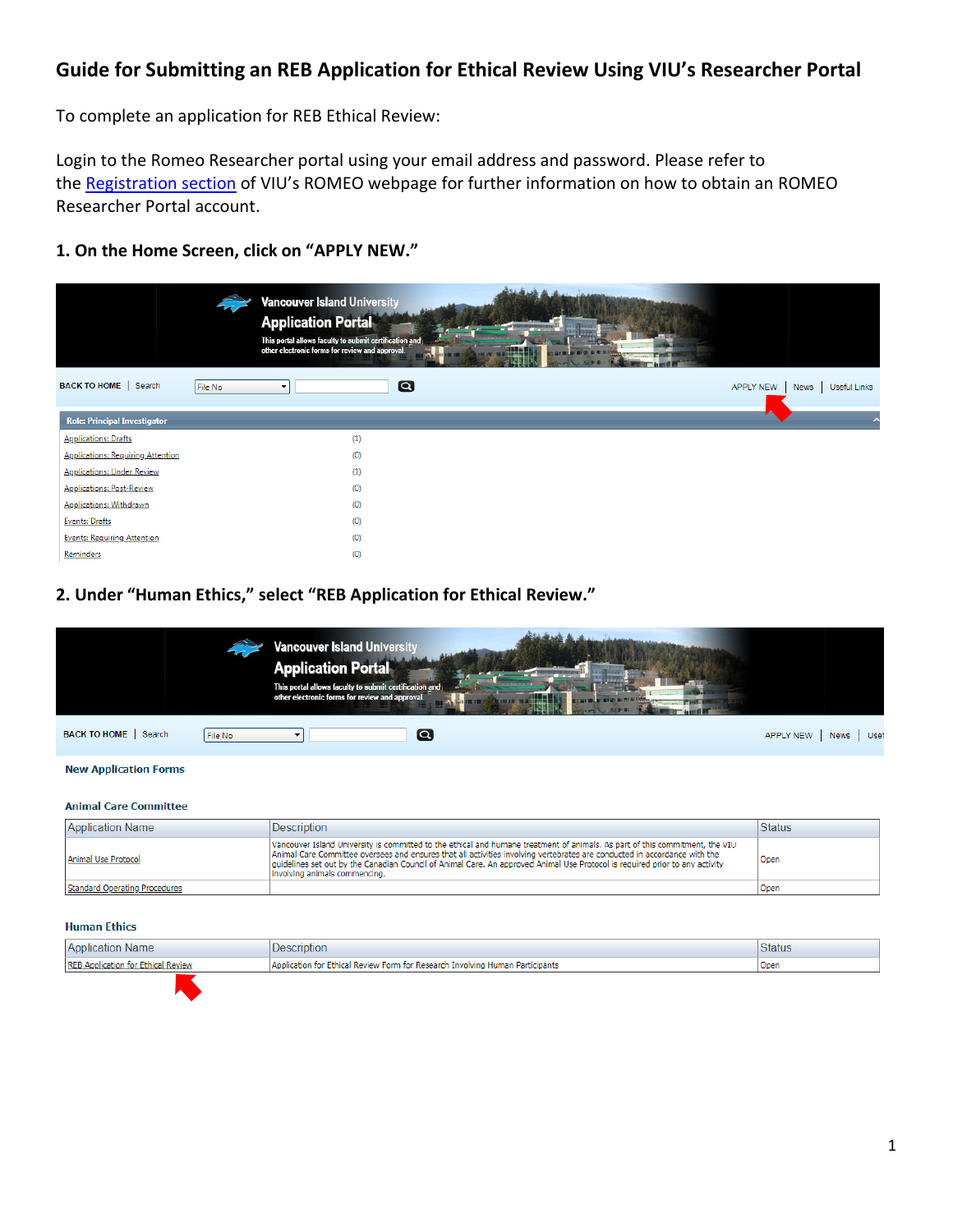# **Guide for Submitting an REB Application for Ethical Review Using VIU's Researcher Portal**

To complete an application for REB Ethical Review:

Login to the Romeo Researcher portal using your email address and password. Please refer to the [Registration](https://research.viu.ca/romeo) section of VIU's ROMEO webpage for further information on how to obtain an ROMEO Researcher Portal account.

# **1. On the Home Screen, click on "APPLY NEW."**

|                                          |         | <b>Vancouver Island University</b><br><b>Application Portal</b><br>This portal allows faculty to submit certification and<br>other electronic forms for review and approval. | --<br>Wh<br><b>Changes Card</b> |           |      |              |
|------------------------------------------|---------|------------------------------------------------------------------------------------------------------------------------------------------------------------------------------|---------------------------------|-----------|------|--------------|
| BACK TO HOME   Search                    | File No | $\Omega$<br>$\blacktriangledown$                                                                                                                                             |                                 | APPLY NEW | News | Useful Links |
| <b>Role: Principal Investigator</b>      |         |                                                                                                                                                                              |                                 | ▲         |      |              |
| <b>Applications: Drafts</b>              |         | (1)                                                                                                                                                                          |                                 |           |      |              |
| <b>Applications: Requiring Attention</b> |         | (0)                                                                                                                                                                          |                                 |           |      |              |
| <b>Applications: Under Review</b>        |         | (1)                                                                                                                                                                          |                                 |           |      |              |
| <b>Applications: Post-Review</b>         |         | (0)                                                                                                                                                                          |                                 |           |      |              |
| <b>Applications: Withdrawn</b>           |         | (0)                                                                                                                                                                          |                                 |           |      |              |
| <b>Events: Drafts</b>                    |         | (0)                                                                                                                                                                          |                                 |           |      |              |
| <b>Events: Requiring Attention</b>       |         | (0)                                                                                                                                                                          |                                 |           |      |              |
| Reminders                                |         | (0)                                                                                                                                                                          |                                 |           |      |              |

# **2. Under "Human Ethics," select "REB Application for Ethical Review."**

|                              |          | <b>Vancouver Island University</b><br><b>Application Portal</b><br>This portal allows faculty to submit certification and<br>other electronic forms for review and approval. | <b>Concerte Line</b> |           |      |      |
|------------------------------|----------|------------------------------------------------------------------------------------------------------------------------------------------------------------------------------|----------------------|-----------|------|------|
| BACK TO HOME   Search        | File No. | $\boldsymbol{\alpha}$                                                                                                                                                        |                      | APPLY NEW | News | Usef |
| <b>New Application Forms</b> |          |                                                                                                                                                                              |                      |           |      |      |

#### **Animal Care Committee**

| <b>Application Name</b>       | <b>Description</b>                                                                                                                                                                                                                                                                                                                                                                                                         | <b>Status</b> |
|-------------------------------|----------------------------------------------------------------------------------------------------------------------------------------------------------------------------------------------------------------------------------------------------------------------------------------------------------------------------------------------------------------------------------------------------------------------------|---------------|
| Animal Use Protocol           | Vancouver Island University is committed to the ethical and humane treatment of animals. As part of this commitment, the VIU<br>Animal Care Committee oversees and ensures that all activities involving vertebrates are conducted in accordance with the<br>quidelines set out by the Canadian Council of Animal Care. An approved Animal Use Protocol is required prior to any activity<br>involving animals commencing. | Open          |
| Standard Operating Procedures |                                                                                                                                                                                                                                                                                                                                                                                                                            | l Open        |

#### **Human Ethics**

| <b>Application Name</b> | scription                                                                     | <b>Status</b> |
|-------------------------|-------------------------------------------------------------------------------|---------------|
| <b>RFB Anni</b>         | Application for Ethical Review Form for Research Involving Human Participants | Open          |
|                         |                                                                               |               |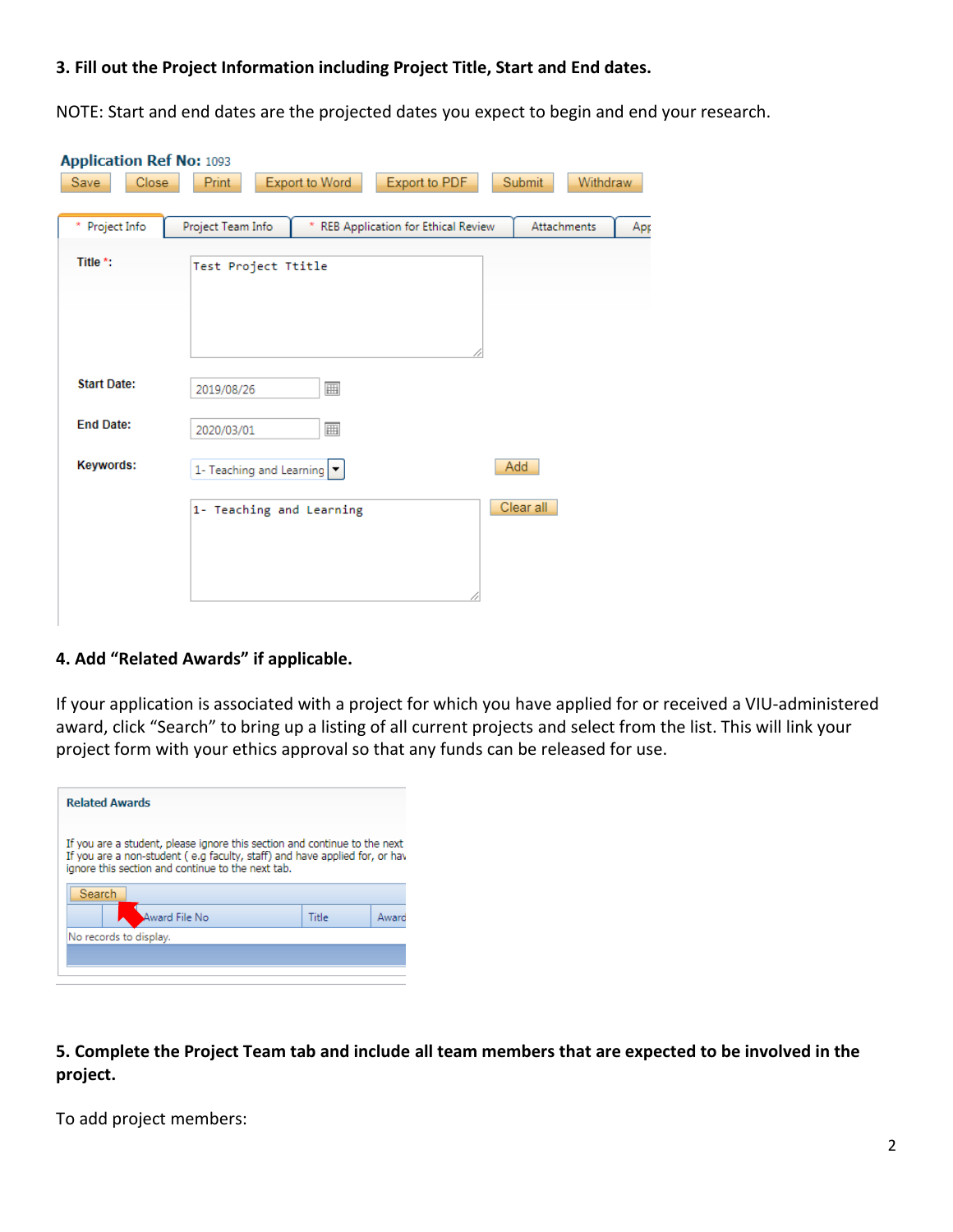# **3. Fill out the Project Information including Project Title, Start and End dates.**

NOTE: Start and end dates are the projected dates you expect to begin and end your research.

| <b>Application Ref No: 1093</b> |                                                                                    |  |
|---------------------------------|------------------------------------------------------------------------------------|--|
| Close<br>Save                   | Export to PDF<br>Export to Word<br>Submit<br>Withdraw<br>Print                     |  |
|                                 |                                                                                    |  |
| * Project Info                  | Project Team Info<br>REB Application for Ethical Review<br>Attachments<br>×<br>Apr |  |
|                                 |                                                                                    |  |
| Title *:                        | Test Project Ttitle                                                                |  |
|                                 |                                                                                    |  |
|                                 |                                                                                    |  |
|                                 |                                                                                    |  |
|                                 |                                                                                    |  |
| <b>Start Date:</b>              | 圃<br>2019/08/26                                                                    |  |
|                                 |                                                                                    |  |
| <b>End Date:</b>                | 囲<br>2020/03/01                                                                    |  |
| Keywords:                       | Add                                                                                |  |
|                                 | 1- Teaching and Learning $ \bullet $                                               |  |
|                                 | Clear all<br>1- Teaching and Learning                                              |  |
|                                 |                                                                                    |  |
|                                 |                                                                                    |  |
|                                 |                                                                                    |  |
|                                 |                                                                                    |  |
|                                 |                                                                                    |  |

### **4. Add "Related Awards" if applicable.**

If your application is associated with a project for which you have applied for or received a VIU-administered award, click "Search" to bring up a listing of all current projects and select from the list. This will link your project form with your ethics approval so that any funds can be released for use.

| <b>Related Awards</b>                                                                                                                                                                                         |       |       |
|---------------------------------------------------------------------------------------------------------------------------------------------------------------------------------------------------------------|-------|-------|
| If you are a student, please ignore this section and continue to the next<br>If you are a non-student (e.g faculty, staff) and have applied for, or have<br>ignore this section and continue to the next tab. |       |       |
| Search                                                                                                                                                                                                        |       |       |
| ward File No                                                                                                                                                                                                  | Title | Award |
| No records to display.                                                                                                                                                                                        |       |       |
|                                                                                                                                                                                                               |       |       |
|                                                                                                                                                                                                               |       |       |

**5. Complete the Project Team tab and include all team members that are expected to be involved in the project.**

To add project members: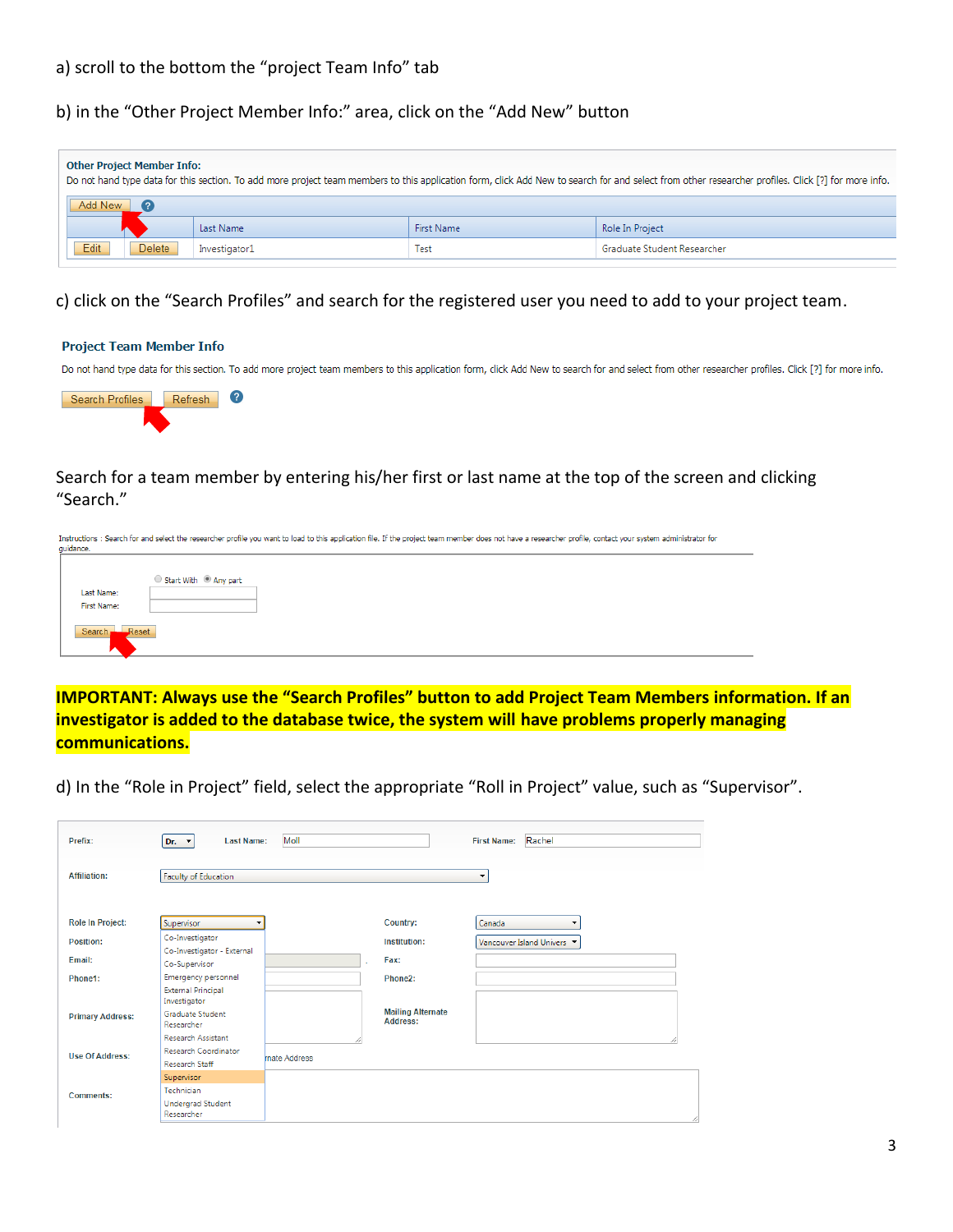# a) scroll to the bottom the "project Team Info" tab

b) in the "Other Project Member Info:" area, click on the "Add New" button

| <b>Other Project Member Info:</b><br>Do not hand type data for this section. To add more project team members to this application form, click Add New to search for and select from other researcher profiles. Click [?] for more info. |        |               |            |                             |  |  |
|-----------------------------------------------------------------------------------------------------------------------------------------------------------------------------------------------------------------------------------------|--------|---------------|------------|-----------------------------|--|--|
| Add New                                                                                                                                                                                                                                 |        |               |            |                             |  |  |
|                                                                                                                                                                                                                                         |        | Last Name     | First Name | Role In Project             |  |  |
| Edit                                                                                                                                                                                                                                    | Delete | Investigator1 | Test       | Graduate Student Researcher |  |  |

c) click on the "Search Profiles" and search for the registered user you need to add to your project team.

#### **Project Team Member Info**

Do not hand type data for this section. To add more project team members to this application form, click Add New to search for and select from other researcher profiles. Click [?] for more info.



Search for a team member by entering his/her first or last name at the top of the screen and clicking "Search."

|             | Instructions : Search for and select the researcher profile you want to load to this application file. If the project team member does not have a researcher profile, contact your system administrator for |
|-------------|-------------------------------------------------------------------------------------------------------------------------------------------------------------------------------------------------------------|
| quidance.   |                                                                                                                                                                                                             |
|             |                                                                                                                                                                                                             |
|             |                                                                                                                                                                                                             |
|             | Start With <sup>@</sup> Any part                                                                                                                                                                            |
| Last Name:  |                                                                                                                                                                                                             |
| First Name: |                                                                                                                                                                                                             |
|             |                                                                                                                                                                                                             |
|             |                                                                                                                                                                                                             |
| Search —    | Reset                                                                                                                                                                                                       |
|             |                                                                                                                                                                                                             |
| ∽           |                                                                                                                                                                                                             |

**IMPORTANT: Always use the "Search Profiles" button to add Project Team Members information. If an investigator is added to the database twice, the system will have problems properly managing communications.**

d) In the "Role in Project" field, select the appropriate "Roll in Project" value, such as "Supervisor".

| Prefix:                 | <b>Last Name:</b><br>$Dr. - \nabla$         | Moll         |                                      | First Name: Rachel                 |
|-------------------------|---------------------------------------------|--------------|--------------------------------------|------------------------------------|
| <b>Affiliation:</b>     | <b>Faculty of Education</b>                 |              |                                      | $\overline{\phantom{a}}$           |
| <b>Role In Project:</b> | Supervisor                                  |              | <b>Country:</b>                      | Canada<br>$\overline{\phantom{a}}$ |
| Position:               | Co-Investigator                             |              | Institution:                         | Vancouver Island Univers           |
| Email:                  | Co-Investigator - External<br>Co-Supervisor |              | Fax:                                 |                                    |
| Phone1:                 | Emergency personnel                         |              | Phone2:                              |                                    |
|                         | <b>External Principal</b><br>Investigator   |              |                                      |                                    |
| <b>Primary Address:</b> | <b>Graduate Student</b><br>Researcher       |              | <b>Mailing Alternate</b><br>Address: |                                    |
|                         | <b>Research Assistant</b>                   |              |                                      |                                    |
| <b>Use Of Address:</b>  | Research Coordinator                        | mate Address |                                      |                                    |
|                         | <b>Research Staff</b>                       |              |                                      |                                    |
|                         | Supervisor                                  |              |                                      |                                    |
| <b>Comments:</b>        | Technician                                  |              |                                      |                                    |
|                         | <b>Undergrad Student</b><br>Researcher      |              |                                      |                                    |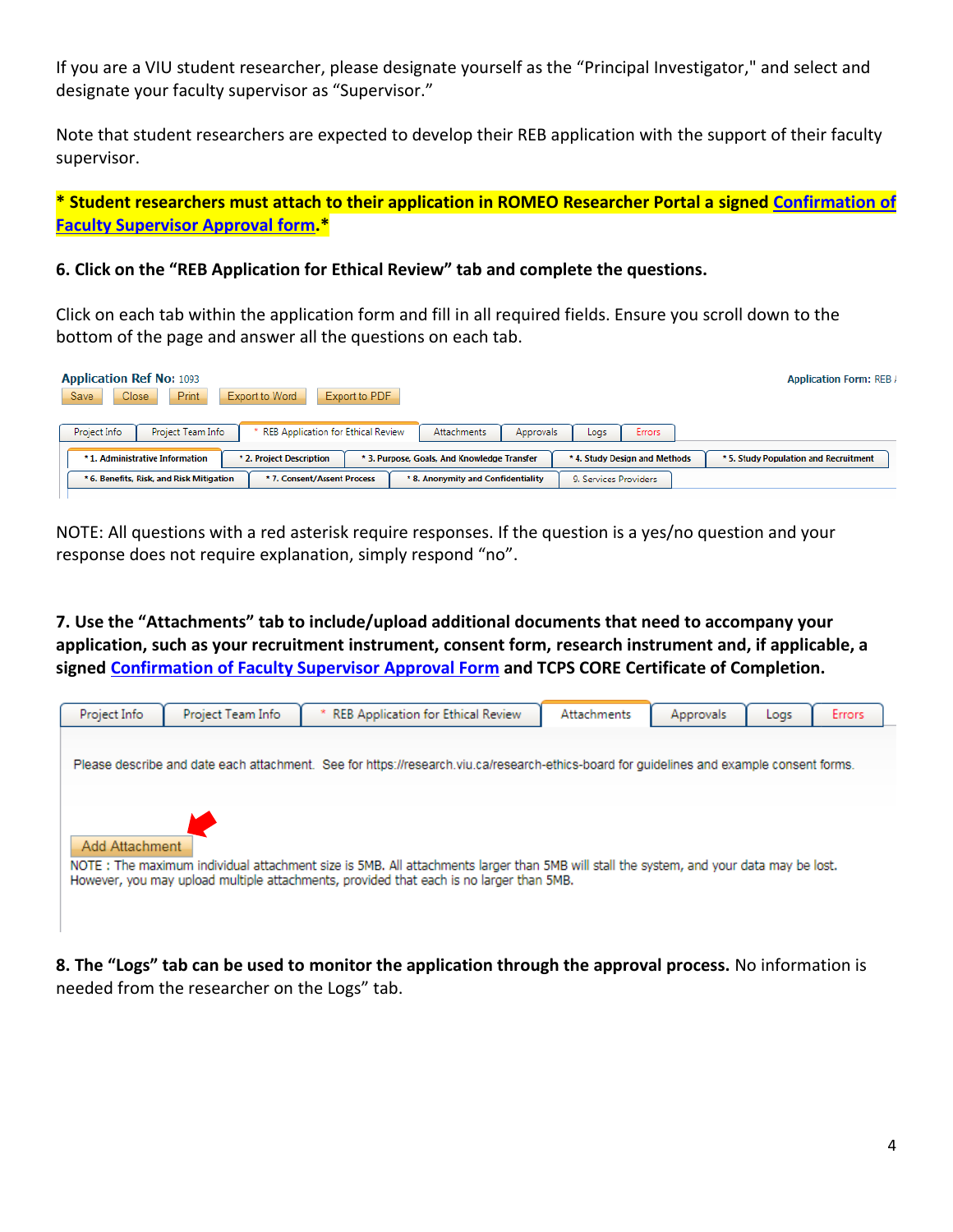If you are a VIU student researcher, please designate yourself as the "Principal Investigator," and select and designate your faculty supervisor as "Supervisor."

Note that student researchers are expected to develop their REB application with the support of their faculty supervisor.

**\* Student researchers must attach to their application in ROMEO Researcher Portal a signed [Confirmation](https://research.viu.ca/sites/default/files/confirmation_of_faculty_supervisor_approval_form.pdf) of [Faculty Supervisor](https://research.viu.ca/sites/default/files/confirmation_of_faculty_supervisor_approval_form.pdf) Approval form.\***

#### **6. Click on the "REB Application for Ethical Review" tab and complete the questions.**

Click on each tab within the application form and fill in all required fields. Ensure you scroll down to the bottom of the page and answer all the questions on each tab.

| <b>Application Ref No: 1093</b><br><b>Print</b><br><b>Close</b><br>Save | Export to PDF<br>Export to Word    |                                             |                               | <b>Application Form: REB /</b>        |
|-------------------------------------------------------------------------|------------------------------------|---------------------------------------------|-------------------------------|---------------------------------------|
| Project Info<br>Project Team Info                                       | REB Application for Ethical Review | Attachments<br><b>Approvals</b>             | <b>Errors</b><br>Logs         |                                       |
| * 1. Administrative Information                                         | * 2. Project Description           | * 3. Purpose, Goals, And Knowledge Transfer | * 4. Study Design and Methods | * 5. Study Population and Recruitment |
| * 6. Benefits, Risk, and Risk Mitigation                                | * 7. Consent/Assent Process        | * 8. Anonymity and Confidentiality          | 9. Services Providers         |                                       |

NOTE: All questions with a red asterisk require responses. If the question is a yes/no question and your response does not require explanation, simply respond "no".

**7. Use the "Attachments" tab to include/upload additional documents that need to accompany your application, such as your recruitment instrument, consent form, research instrument and, if applicable, a signed [Confirmation of Faculty Supervisor Approval Form](https://research.viu.ca/sites/default/files/confirmation_of_faculty_supervisor_approval_form.pdf) and TCPS CORE Certificate of Completion.** 



**8. The "Logs" tab can be used to monitor the application through the approval process.** No information is needed from the researcher on the Logs" tab.